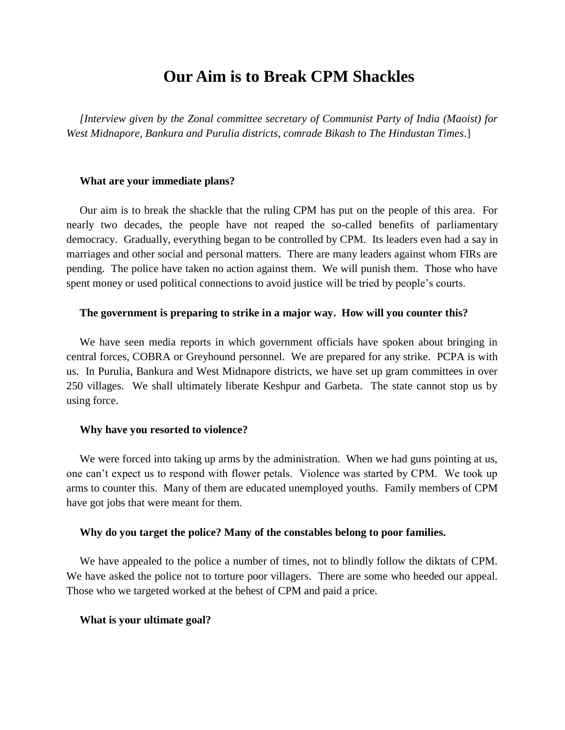# **Our Aim is to Break CPM Shackles**

*[Interview given by the Zonal committee secretary of Communist Party of India (Maoist) for West Midnapore, Bankura and Purulia districts, comrade Bikash to The Hindustan Times*.]

### **What are your immediate plans?**

Our aim is to break the shackle that the ruling CPM has put on the people of this area. For nearly two decades, the people have not reaped the so-called benefits of parliamentary democracy. Gradually, everything began to be controlled by CPM. Its leaders even had a say in marriages and other social and personal matters. There are many leaders against whom FIRs are pending. The police have taken no action against them. We will punish them. Those who have spent money or used political connections to avoid justice will be tried by people's courts.

### **The government is preparing to strike in a major way. How will you counter this?**

We have seen media reports in which government officials have spoken about bringing in central forces, COBRA or Greyhound personnel. We are prepared for any strike. PCPA is with us. In Purulia, Bankura and West Midnapore districts, we have set up gram committees in over 250 villages. We shall ultimately liberate Keshpur and Garbeta. The state cannot stop us by using force.

### **Why have you resorted to violence?**

We were forced into taking up arms by the administration. When we had guns pointing at us, one can't expect us to respond with flower petals. Violence was started by CPM. We took up arms to counter this. Many of them are educated unemployed youths. Family members of CPM have got jobs that were meant for them.

## **Why do you target the police? Many of the constables belong to poor families.**

We have appealed to the police a number of times, not to blindly follow the diktats of CPM. We have asked the police not to torture poor villagers. There are some who heeded our appeal. Those who we targeted worked at the behest of CPM and paid a price.

#### **What is your ultimate goal?**